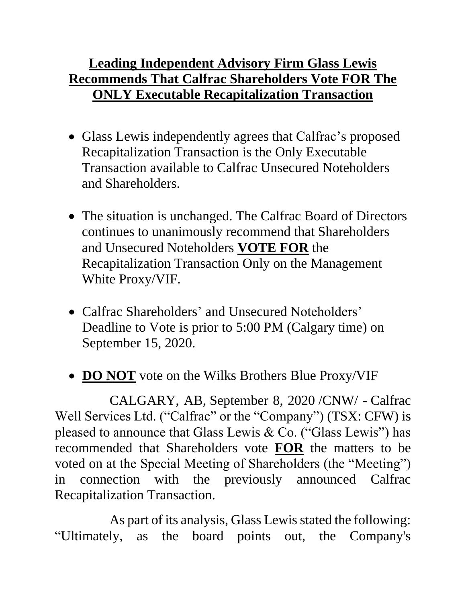## **Leading Independent Advisory Firm Glass Lewis Recommends That Calfrac Shareholders Vote FOR The ONLY Executable Recapitalization Transaction**

- Glass Lewis independently agrees that Calfrac's proposed Recapitalization Transaction is the Only Executable Transaction available to Calfrac Unsecured Noteholders and Shareholders.
- The situation is unchanged. The Calfrac Board of Directors continues to unanimously recommend that Shareholders and Unsecured Noteholders **VOTE FOR** the Recapitalization Transaction Only on the Management White Proxy/VIF.
- Calfrac Shareholders' and Unsecured Noteholders' Deadline to Vote is prior to 5:00 PM (Calgary time) on September 15, 2020.
- **DO NOT** vote on the Wilks Brothers Blue Proxy/VIF

CALGARY, AB, September 8, 2020 /CNW/ - Calfrac Well Services Ltd. ("Calfrac" or the "Company") (TSX: CFW) is pleased to announce that Glass Lewis & Co. ("Glass Lewis") has recommended that Shareholders vote **FOR** the matters to be voted on at the Special Meeting of Shareholders (the "Meeting") in connection with the previously announced Calfrac Recapitalization Transaction.

As part of its analysis, Glass Lewis stated the following: "Ultimately, as the board points out, the Company's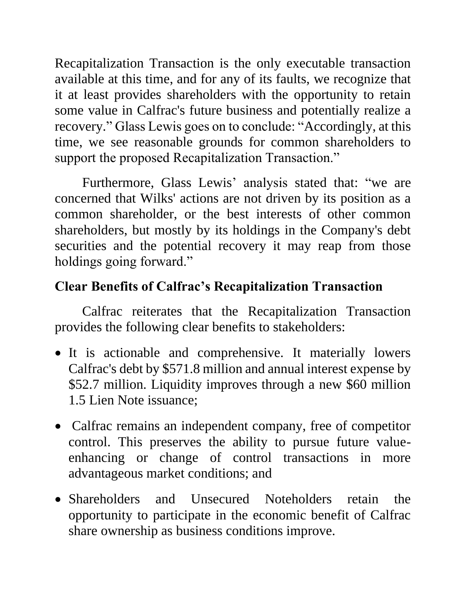Recapitalization Transaction is the only executable transaction available at this time, and for any of its faults, we recognize that it at least provides shareholders with the opportunity to retain some value in Calfrac's future business and potentially realize a recovery." Glass Lewis goes on to conclude: "Accordingly, at this time, we see reasonable grounds for common shareholders to support the proposed Recapitalization Transaction."

Furthermore, Glass Lewis' analysis stated that: "we are concerned that Wilks' actions are not driven by its position as a common shareholder, or the best interests of other common shareholders, but mostly by its holdings in the Company's debt securities and the potential recovery it may reap from those holdings going forward."

## **Clear Benefits of Calfrac's Recapitalization Transaction**

Calfrac reiterates that the Recapitalization Transaction provides the following clear benefits to stakeholders:

- It is actionable and comprehensive. It materially lowers Calfrac's debt by \$571.8 million and annual interest expense by \$52.7 million. Liquidity improves through a new \$60 million 1.5 Lien Note issuance;
- Calfrac remains an independent company, free of competitor control. This preserves the ability to pursue future valueenhancing or change of control transactions in more advantageous market conditions; and
- Shareholders and Unsecured Noteholders retain the opportunity to participate in the economic benefit of Calfrac share ownership as business conditions improve.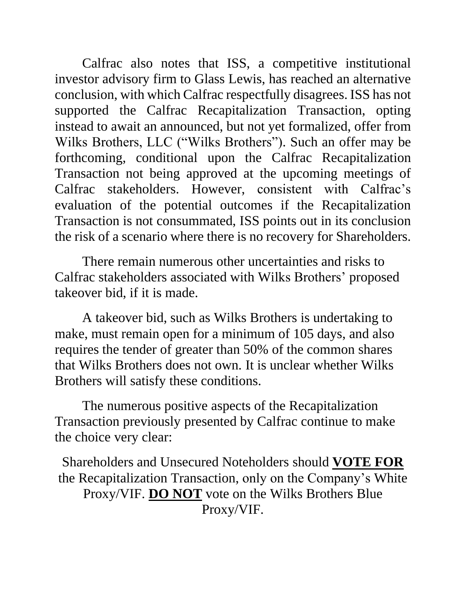Calfrac also notes that ISS, a competitive institutional investor advisory firm to Glass Lewis, has reached an alternative conclusion, with which Calfrac respectfully disagrees. ISS has not supported the Calfrac Recapitalization Transaction, opting instead to await an announced, but not yet formalized, offer from Wilks Brothers, LLC ("Wilks Brothers"). Such an offer may be forthcoming, conditional upon the Calfrac Recapitalization Transaction not being approved at the upcoming meetings of Calfrac stakeholders. However, consistent with Calfrac's evaluation of the potential outcomes if the Recapitalization Transaction is not consummated, ISS points out in its conclusion the risk of a scenario where there is no recovery for Shareholders.

There remain numerous other uncertainties and risks to Calfrac stakeholders associated with Wilks Brothers' proposed takeover bid, if it is made.

A takeover bid, such as Wilks Brothers is undertaking to make, must remain open for a minimum of 105 days, and also requires the tender of greater than 50% of the common shares that Wilks Brothers does not own. It is unclear whether Wilks Brothers will satisfy these conditions.

The numerous positive aspects of the Recapitalization Transaction previously presented by Calfrac continue to make the choice very clear:

Shareholders and Unsecured Noteholders should **VOTE FOR** the Recapitalization Transaction, only on the Company's White Proxy/VIF. **DO NOT** vote on the Wilks Brothers Blue Proxy/VIF.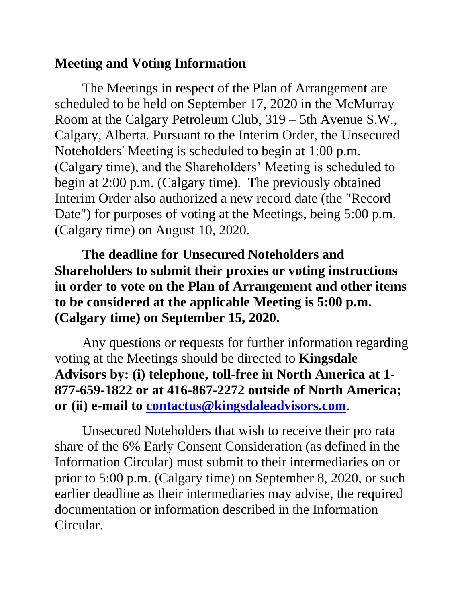## **Meeting and Voting Information**

The Meetings in respect of the Plan of Arrangement are scheduled to be held on September 17, 2020 in the McMurray Room at the Calgary Petroleum Club, 319 – 5th Avenue S.W., Calgary, Alberta. Pursuant to the Interim Order, the Unsecured Noteholders' Meeting is scheduled to begin at 1:00 p.m. (Calgary time), and the Shareholders' Meeting is scheduled to begin at 2:00 p.m. (Calgary time). The previously obtained Interim Order also authorized a new record date (the "Record Date") for purposes of voting at the Meetings, being 5:00 p.m. (Calgary time) on August 10, 2020.

**The deadline for Unsecured Noteholders and Shareholders to submit their proxies or voting instructions in order to vote on the Plan of Arrangement and other items to be considered at the applicable Meeting is 5:00 p.m. (Calgary time) on September 15, 2020.**

Any questions or requests for further information regarding voting at the Meetings should be directed to **Kingsdale Advisors by: (i) telephone, toll-free in North America at 1- 877-659-1822 or at 416-867-2272 outside of North America; or (ii) e-mail to [contactus@kingsdaleadvisors.com](mailto:contactus@kingsdaleadvisors.com)**.

Unsecured Noteholders that wish to receive their pro rata share of the 6% Early Consent Consideration (as defined in the Information Circular) must submit to their intermediaries on or prior to 5:00 p.m. (Calgary time) on September 8, 2020, or such earlier deadline as their intermediaries may advise, the required documentation or information described in the Information Circular.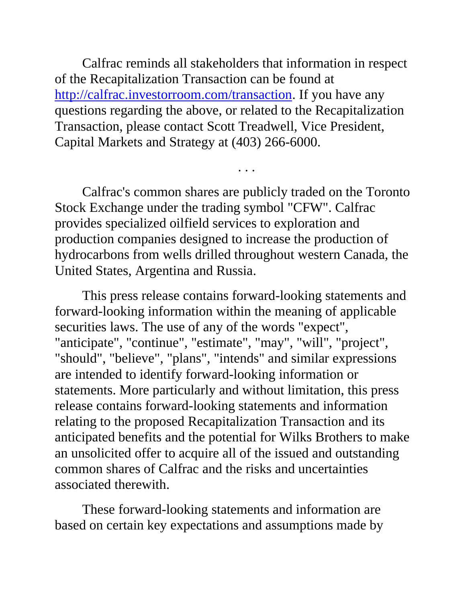Calfrac reminds all stakeholders that information in respect of the Recapitalization Transaction can be found at [http://calfrac.investorroom.com/transaction.](http://calfrac.investorroom.com/transaction) If you have any questions regarding the above, or related to the Recapitalization Transaction, please contact Scott Treadwell, Vice President, Capital Markets and Strategy at (403) 266-6000.

Calfrac's common shares are publicly traded on the Toronto Stock Exchange under the trading symbol "CFW". Calfrac provides specialized oilfield services to exploration and production companies designed to increase the production of hydrocarbons from wells drilled throughout western Canada, the United States, Argentina and Russia.

. . .

This press release contains forward-looking statements and forward-looking information within the meaning of applicable securities laws. The use of any of the words "expect", "anticipate", "continue", "estimate", "may", "will", "project", "should", "believe", "plans", "intends" and similar expressions are intended to identify forward-looking information or statements. More particularly and without limitation, this press release contains forward-looking statements and information relating to the proposed Recapitalization Transaction and its anticipated benefits and the potential for Wilks Brothers to make an unsolicited offer to acquire all of the issued and outstanding common shares of Calfrac and the risks and uncertainties associated therewith.

These forward-looking statements and information are based on certain key expectations and assumptions made by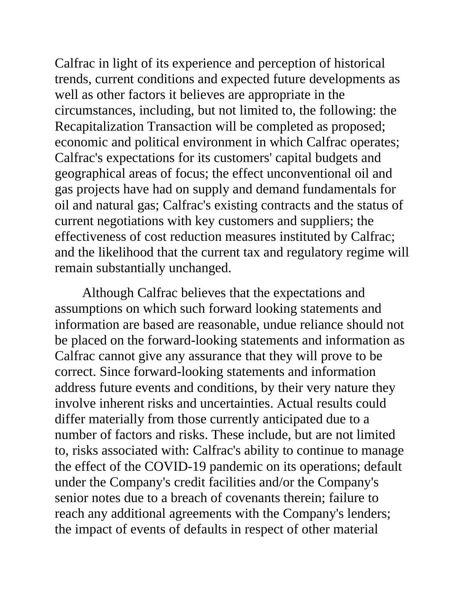Calfrac in light of its experience and perception of historical trends, current conditions and expected future developments as well as other factors it believes are appropriate in the circumstances, including, but not limited to, the following: the Recapitalization Transaction will be completed as proposed; economic and political environment in which Calfrac operates; Calfrac's expectations for its customers' capital budgets and geographical areas of focus; the effect unconventional oil and gas projects have had on supply and demand fundamentals for oil and natural gas; Calfrac's existing contracts and the status of current negotiations with key customers and suppliers; the effectiveness of cost reduction measures instituted by Calfrac; and the likelihood that the current tax and regulatory regime will remain substantially unchanged.

Although Calfrac believes that the expectations and assumptions on which such forward looking statements and information are based are reasonable, undue reliance should not be placed on the forward-looking statements and information as Calfrac cannot give any assurance that they will prove to be correct. Since forward-looking statements and information address future events and conditions, by their very nature they involve inherent risks and uncertainties. Actual results could differ materially from those currently anticipated due to a number of factors and risks. These include, but are not limited to, risks associated with: Calfrac's ability to continue to manage the effect of the COVID-19 pandemic on its operations; default under the Company's credit facilities and/or the Company's senior notes due to a breach of covenants therein; failure to reach any additional agreements with the Company's lenders; the impact of events of defaults in respect of other material